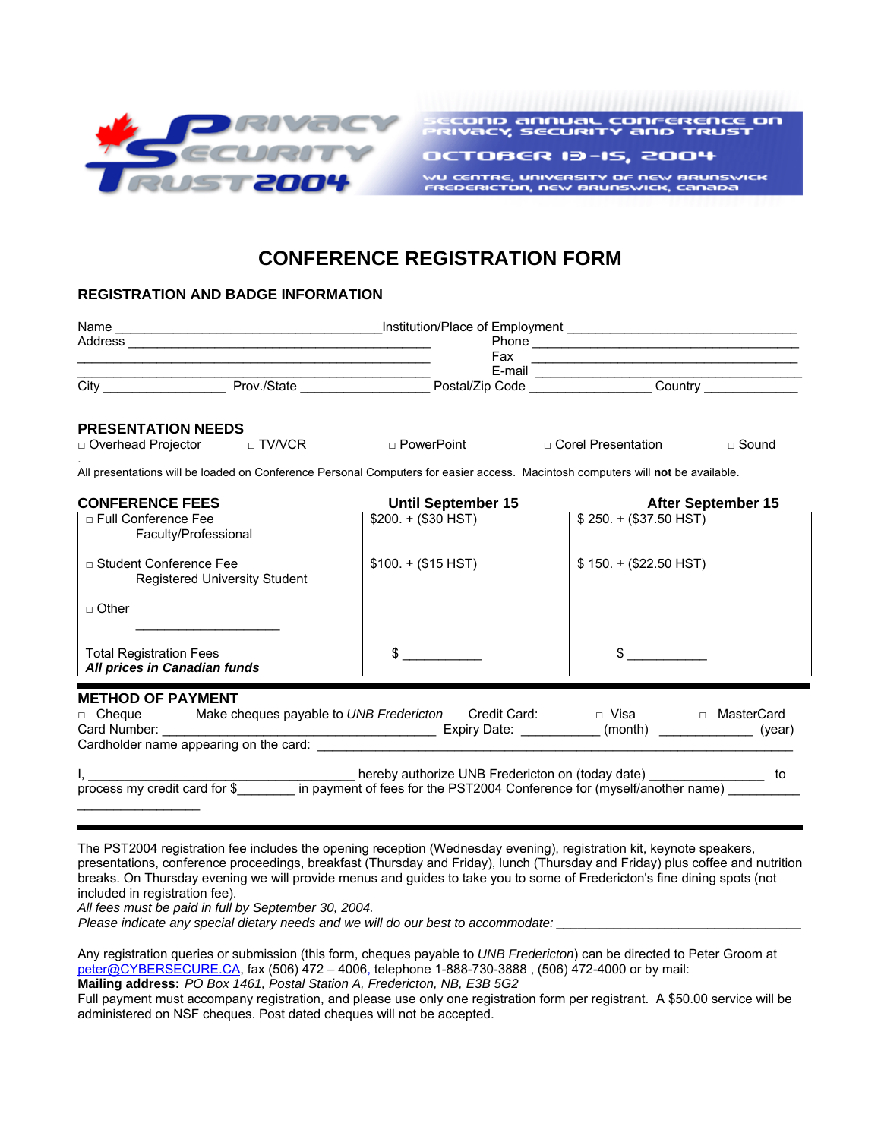



# **CONFERENCE REGISTRATION FORM**

#### **REGISTRATION AND BADGE INFORMATION**

|                                                                  |  | Fax                                                                                                                                                                                                                            | <u> 1989 - Johann Barnett, fransk politiker (d. 1989)</u> |                        |  |
|------------------------------------------------------------------|--|--------------------------------------------------------------------------------------------------------------------------------------------------------------------------------------------------------------------------------|-----------------------------------------------------------|------------------------|--|
|                                                                  |  | E-mail E-mail E-mail City Country Country Prov./State Prov./State Postal/Zip Code Country Country Country Prov./State Country Prov./State Country Prov./State Country Prov./State Country Prov./State Country Country Prov./St |                                                           |                        |  |
|                                                                  |  |                                                                                                                                                                                                                                |                                                           |                        |  |
| <b>PRESENTATION NEEDS</b>                                        |  |                                                                                                                                                                                                                                |                                                           |                        |  |
| □ Overhead Projector     □ TV/VCR                                |  | $\Box$ PowerPoint                                                                                                                                                                                                              | □ Corel Presentation                                      | $\Box$ Sound           |  |
|                                                                  |  | All presentations will be loaded on Conference Personal Computers for easier access. Macintosh computers will not be available.                                                                                                |                                                           |                        |  |
| <b>CONFERENCE FEES</b>                                           |  | <b>Until September 15</b>                                                                                                                                                                                                      | <b>After September 15</b>                                 |                        |  |
| □ Full Conference Fee<br>Faculty/Professional                    |  | $$200. + ($30 HST)$                                                                                                                                                                                                            | $$250. + ($37.50$ HST)                                    |                        |  |
| □ Student Conference Fee<br><b>Registered University Student</b> |  | $$100. + ($15 HST)$                                                                                                                                                                                                            |                                                           | $$150. + ($22.50$ HST) |  |
| $\Box$ Other                                                     |  |                                                                                                                                                                                                                                |                                                           |                        |  |
| <b>Total Registration Fees</b><br>All prices in Canadian funds   |  | $\sim$                                                                                                                                                                                                                         | $\frac{1}{2}$                                             |                        |  |
| <b>METHOD OF PAYMENT</b>                                         |  |                                                                                                                                                                                                                                |                                                           |                        |  |
| □ Cheque                                                         |  | Make cheques payable to UNB Fredericton Credit Card:  □ Visa                                                                                                                                                                   |                                                           | □ MasterCard           |  |
|                                                                  |  |                                                                                                                                                                                                                                |                                                           |                        |  |
|                                                                  |  |                                                                                                                                                                                                                                |                                                           |                        |  |
|                                                                  |  |                                                                                                                                                                                                                                |                                                           |                        |  |
|                                                                  |  |                                                                                                                                                                                                                                |                                                           |                        |  |

The PST2004 registration fee includes the opening reception (Wednesday evening), registration kit, keynote speakers, presentations, conference proceedings, breakfast (Thursday and Friday), lunch (Thursday and Friday) plus coffee and nutrition breaks. On Thursday evening we will provide menus and guides to take you to some of Fredericton's fine dining spots (not included in registration fee).

*All fees must be paid in full by September 30, 2004.* 

*Please indicate any special dietary needs and we will do our best to accommodate:* 

Any registration queries or submission (this form, cheques payable to *UNB Fredericton*) can be directed to Peter Groom at peter@CYBERSECURE.CA, fax (506) 472 – 4006, telephone 1-888-730-3888 , (506) 472-4000 or by mail: **Mailing address:** *PO Box 1461, Postal Station A, Fredericton, NB, E3B 5G2*

Full payment must accompany registration, and please use only one registration form per registrant.A \$50.00 service will be administered on NSF cheques. Post dated cheques will not be accepted.